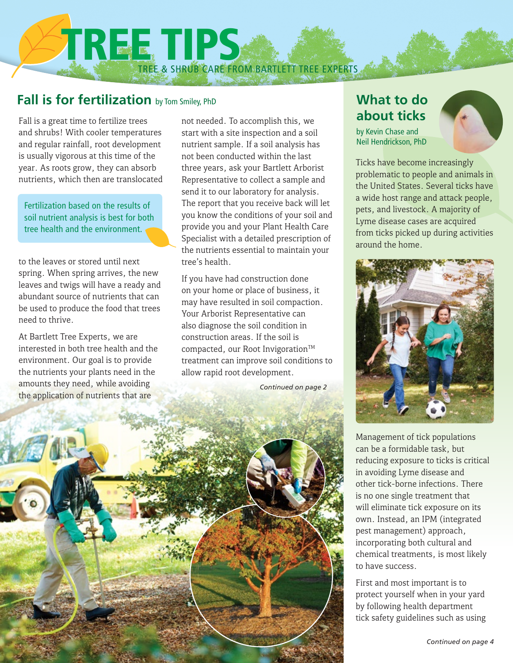TREE & SHRUB CARE FROM BARTLETT TREE EXPERTS TREE TIPS

## **Fall is for fertilization** by Tom Smiley, PhD

Fall is a great time to fertilize trees and shrubs! With cooler temperatures and regular rainfall, root development is usually vigorous at this time of the year. As roots grow, they can absorb nutrients, which then are translocated

Fertilization based on the results of soil nutrient analysis is best for both tree health and the environment.

to the leaves or stored until next spring. When spring arrives, the new leaves and twigs will have a ready and abundant source of nutrients that can be used to produce the food that trees need to thrive.

At Bartlett Tree Experts, we are interested in both tree health and the environment. Our goal is to provide the nutrients your plants need in the amounts they need, while avoiding the application of nutrients that are

not needed. To accomplish this, we start with a site inspection and a soil nutrient sample. If a soil analysis has not been conducted within the last three years, ask your Bartlett Arborist Representative to collect a sample and send it to our laboratory for analysis. The report that you receive back will let you know the conditions of your soil and provide you and your Plant Health Care Specialist with a detailed prescription of the nutrients essential to maintain your tree's health.

If you have had construction done on your home or place of business, it may have resulted in soil compaction. Your Arborist Representative can also diagnose the soil condition in construction areas. If the soil is compacted, our Root Invigoration<sup>TM</sup> treatment can improve soil conditions to allow rapid root development.

#### *Continued on page 2*



by Kevin Chase and Neil Hendrickson, PhD

Ticks have become increasingly problematic to people and animals in the United States. Several ticks have a wide host range and attack people, pets, and livestock. A majority of Lyme disease cases are acquired from ticks picked up during activities around the home.



Management of tick populations can be a formidable task, but reducing exposure to ticks is critical in avoiding Lyme disease and other tick-borne infections. There is no one single treatment that will eliminate tick exposure on its own. Instead, an IPM (integrated pest management) approach, incorporating both cultural and chemical treatments, is most likely to have success.

First and most important is to protect yourself when in your yard by following health department tick safety guidelines such as using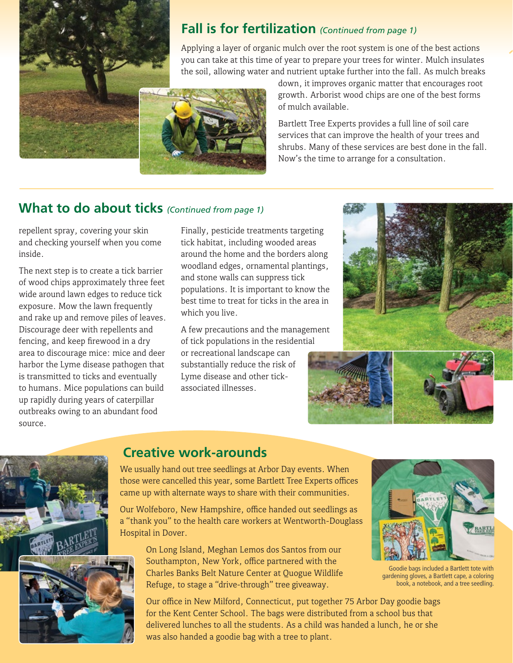

## **Fall is for fertilization** *(Continued from page 1)*

Applying a layer of organic mulch over the root system is one of the best actions you can take at this time of year to prepare your trees for winter. Mulch insulates the soil, allowing water and nutrient uptake further into the fall. As mulch breaks



down, it improves organic matter that encourages root growth. Arborist wood chips are one of the best forms of mulch available.

Bartlett Tree Experts provides a full line of soil care services that can improve the health of your trees and shrubs. Many of these services are best done in the fall. Now's the time to arrange for a consultation.

## **What to do about ticks** *(Continued from page 1)*

repellent spray, covering your skin and checking yourself when you come inside.

The next step is to create a tick barrier of wood chips approximately three feet wide around lawn edges to reduce tick exposure. Mow the lawn frequently and rake up and remove piles of leaves. Discourage deer with repellents and fencing, and keep firewood in a dry area to discourage mice: mice and deer harbor the Lyme disease pathogen that is transmitted to ticks and eventually to humans. Mice populations can build up rapidly during years of caterpillar outbreaks owing to an abundant food source.

Finally, pesticide treatments targeting tick habitat, including wooded areas around the home and the borders along woodland edges, ornamental plantings, and stone walls can suppress tick populations. It is important to know the best time to treat for ticks in the area in which you live.

A few precautions and the management of tick populations in the residential

or recreational landscape can substantially reduce the risk of Lyme disease and other tickassociated illnesses.







## **Creative work-arounds**

We usually hand out tree seedlings at Arbor Day events. When those were cancelled this year, some Bartlett Tree Experts offices came up with alternate ways to share with their communities.

Our Wolfeboro, New Hampshire, office handed out seedlings as a "thank you" to the health care workers at Wentworth-Douglass Hospital in Dover.

> On Long Island, Meghan Lemos dos Santos from our Southampton, New York, office partnered with the Charles Banks Belt Nature Center at Quogue Wildlife Refuge, to stage a "drive-through" tree giveaway.

Goodie bags included a Bartlett tote with gardening gloves, a Bartlett cape, a coloring book, a notebook, and a tree seedling.

Our office in New Milford, Connecticut, put together 75 Arbor Day goodie bags for the Kent Center School. The bags were distributed from a school bus that delivered lunches to all the students. As a child was handed a lunch, he or she was also handed a goodie bag with a tree to plant.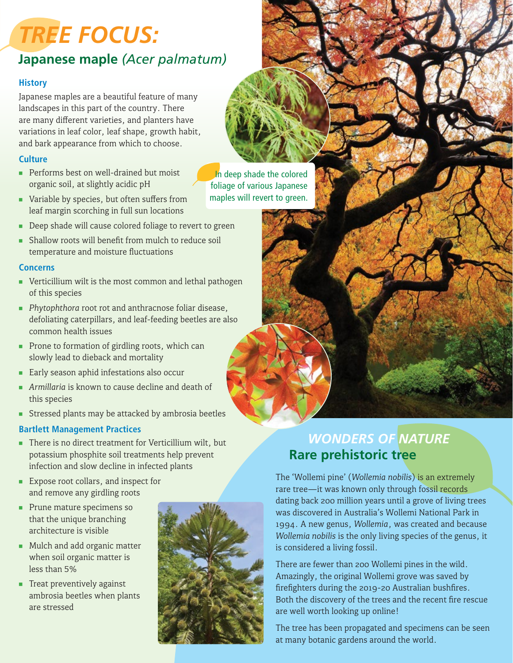# *TREE FOCUS:*

## **Japanese maple** *(Acer palmatum)*

#### **History**

Japanese maples are a beautiful feature of many landscapes in this part of the country. There are many different varieties, and planters have variations in leaf color, leaf shape, growth habit, and bark appearance from which to choose.

#### **Culture**

- Performs best on well-drained but moist organic soil, at slightly acidic pH
- Variable by species, but often suffers from leaf margin scorching in full sun locations
- **Deep shade will cause colored foliage to revert to green**
- **F** Shallow roots will benefit from mulch to reduce soil temperature and moisture fluctuations

#### **Concerns**

- **Verticillium wilt is the most common and lethal pathogen** of this species
- **Phytophthora root rot and anthracnose foliar disease,** defoliating caterpillars, and leaf-feeding beetles are also common health issues
- **Prone to formation of girdling roots, which can** slowly lead to dieback and mortality
- **Early season aphid infestations also occur**
- **Armillaria** is known to cause decline and death of this species
- **Fig. 3** Stressed plants may be attacked by ambrosia beetles

#### **Bartlett Management Practices**

- There is no direct treatment for Verticillium wilt, but potassium phosphite soil treatments help prevent infection and slow decline in infected plants
- **Expose root collars, and inspect for** and remove any girdling roots
- Prune mature specimens so that the unique branching architecture is visible
- Mulch and add organic matter when soil organic matter is less than 5%
- **Treat preventively against** ambrosia beetles when plants are stressed



### In deep shade the colored foliage of various Japanese maples will revert to green.

## *WONDERS OF NATURE* **Rare prehistoric tree**

The 'Wollemi pine' (*Wollemia nobilis*) is an extremely rare tree—it was known only through fossil records dating back 200 million years until a grove of living trees was discovered in Australia's Wollemi National Park in 1994. A new genus, *Wollemia*, was created and because *Wollemia nobilis* is the only living species of the genus, it is considered a living fossil.

There are fewer than 200 Wollemi pines in the wild. Amazingly, the original Wollemi grove was saved by firefighters during the 2019-20 Australian bushfires. Both the discovery of the trees and the recent fire rescue are well worth looking up online!

The tree has been propagated and specimens can be seen at many botanic gardens around the world.